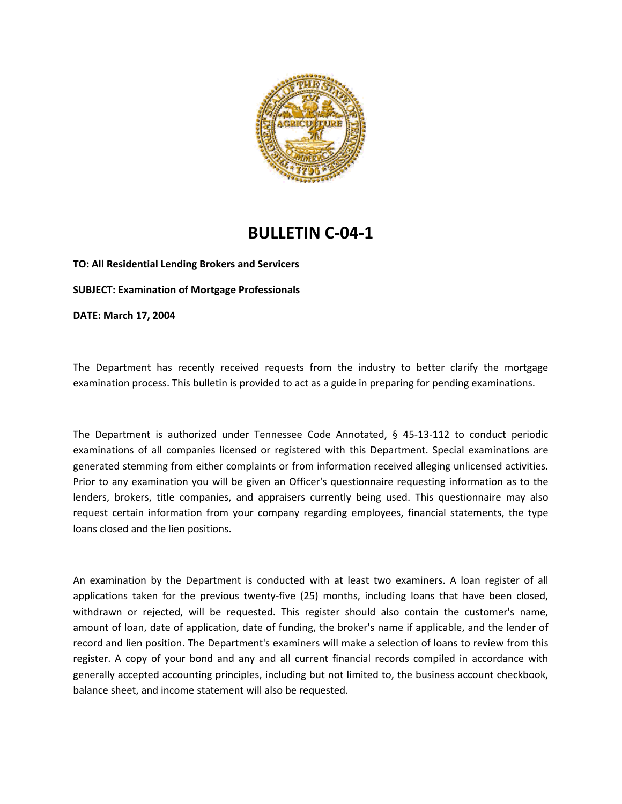

## **BULLETIN C‐04‐1**

**TO: All Residential Lending Brokers and Servicers SUBJECT: Examination of Mortgage Professionals DATE: March 17, 2004**

The Department has recently received requests from the industry to better clarify the mortgage examination process. This bulletin is provided to act as a guide in preparing for pending examinations.

The Department is authorized under Tennessee Code Annotated, § 45-13-112 to conduct periodic examinations of all companies licensed or registered with this Department. Special examinations are generated stemming from either complaints or from information received alleging unlicensed activities. Prior to any examination you will be given an Officer's questionnaire requesting information as to the lenders, brokers, title companies, and appraisers currently being used. This questionnaire may also request certain information from your company regarding employees, financial statements, the type loans closed and the lien positions.

An examination by the Department is conducted with at least two examiners. A loan register of all applications taken for the previous twenty-five (25) months, including loans that have been closed, withdrawn or rejected, will be requested. This register should also contain the customer's name, amount of loan, date of application, date of funding, the broker's name if applicable, and the lender of record and lien position. The Department's examiners will make a selection of loans to review from this register. A copy of your bond and any and all current financial records compiled in accordance with generally accepted accounting principles, including but not limited to, the business account checkbook, balance sheet, and income statement will also be requested.